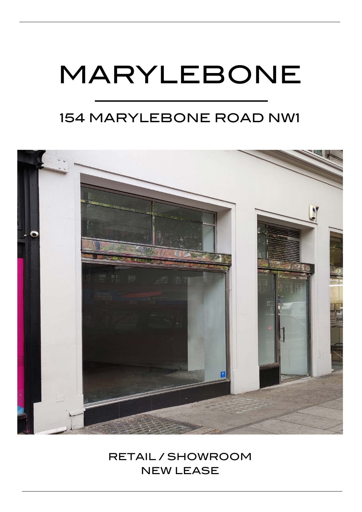# MARYLEBONE

## 154 MARYLEBONE ROAD NW1



### RETAIL / SHOWROOM NEW LEASE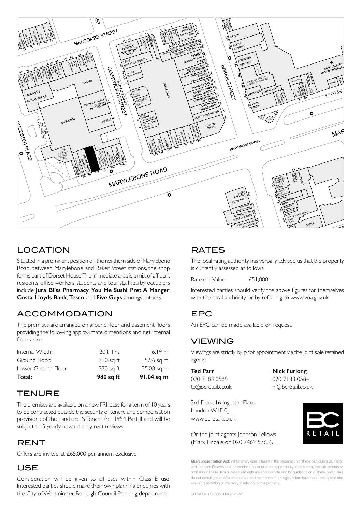

#### LOCATION  $C$

Situated in a prominent position on the northern side of Marylebone Road between Marylebone and Baker Street stations, the shop forms part of Dorset House. The immediate area is a mix of affluent residents, office workers, students and tourists. Nearby occupiers include **Jura**, **Bliss Pharmacy**, **You Me Sushi**, **Pret A Manger**, **Costa**, **Lloyds Bank**, **Tesco** and **Five Guys** amongst others.

#### ACCOMMODATION

The premises are arranged on ground floor and basement floors providing the following approximate dimensions and net internal floor areas:

| Total:              | 980 sq ft   | 91.04 sq m |
|---------------------|-------------|------------|
| Lower Ground Floor: | $270$ sq ft | 25.08 sq m |
| Ground Floor:       | $710$ sq ft | 5.96 sq m  |
| Internal Width:     | 20ft 4ins   | 6.19 m     |

#### **TENURE**

The premises are available on a new FRI lease for a term of 10 years to be contracted outside the security of tenure and compensation provisions of the Landlord & Tenant Act 1954 Part II and will be subject to 5 yearly upward only rent reviews.

#### RENT

Offers are invited at £65,000 per annum exclusive.

#### USE

Consideration will be given to all uses within Class E use. Interested parties should make their own planning enquiries with the City of Westminster Borough Council Planning department.

#### RATES

The local rating authority has verbally advised us that the property is currently assessed as follows:

Rateable Value  $f51,000$ 

Interested parties should verify the above figures for themselves with the local authority or by referring to www.voa.gov.uk.

#### EPC

An EPC can be made available on request.

#### VIEWING

Viewings are strictly by prior appointment via the joint sole retained agents:

**Ted Parr Nick Furlong**  020 7183 0589 020 7183 0584

tp@bcretail.co.uk nf@bcretail.co.uk

3rd Floor, 16 Ingestre Place London WIF 0|| www.bcretail.co.uk

Or the joint agents Johnson Fellows (Mark Tindale on 020 7462 5763).

ETAI

**Misrepresentation Act:** Whilst every care is taken in the preparation of these particulars BC Retail and Johnson Fellows and the vendor / lessor take no responsibility for any error, mis-statements or omission in these details. Measurements are approximate and for guidance only. These particulars do not constitute an offer or contract and members of the Agent's firm have no authority to make any representation or warranty in relation to this property.

SUBJECT TO CONTRACT 2022